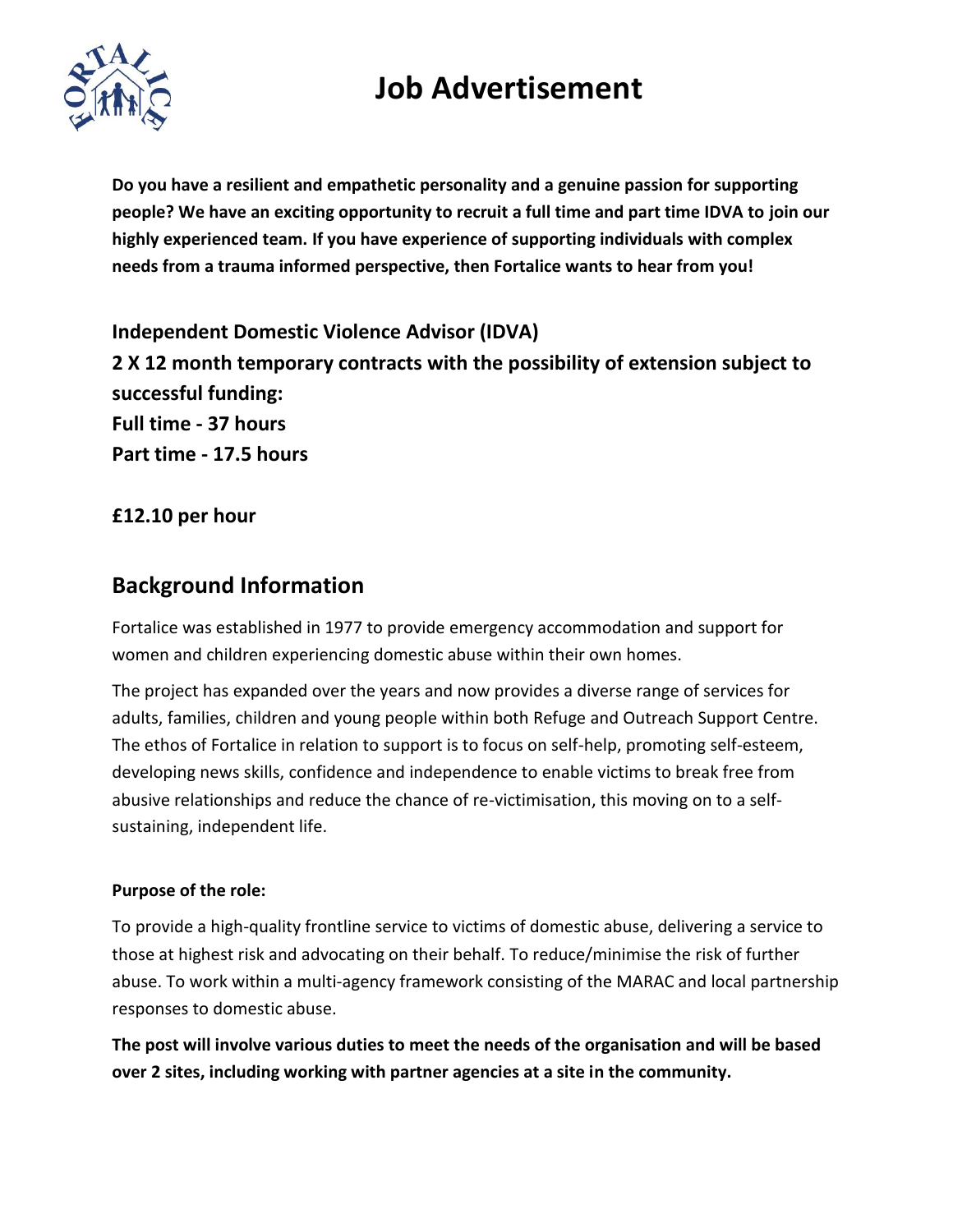# **Job Advertisement**



**Do you have a resilient and empathetic personality and a genuine passion for supporting people? We have an exciting opportunity to recruit a full time and part time IDVA to join our highly experienced team. If you have experience of supporting individuals with complex needs from a trauma informed perspective, then Fortalice wants to hear from you!**

**Independent Domestic Violence Advisor (IDVA) 2 X 12 month temporary contracts with the possibility of extension subject to successful funding: Full time - 37 hours Part time - 17.5 hours**

### **£12.10 per hour**

### **Background Information**

Fortalice was established in 1977 to provide emergency accommodation and support for women and children experiencing domestic abuse within their own homes.

The project has expanded over the years and now provides a diverse range of services for adults, families, children and young people within both Refuge and Outreach Support Centre. The ethos of Fortalice in relation to support is to focus on self-help, promoting self-esteem, developing news skills, confidence and independence to enable victims to break free from abusive relationships and reduce the chance of re-victimisation, this moving on to a selfsustaining, independent life.

#### **Purpose of the role:**

To provide a high-quality frontline service to victims of domestic abuse, delivering a service to those at highest risk and advocating on their behalf. To reduce/minimise the risk of further abuse. To work within a multi-agency framework consisting of the MARAC and local partnership responses to domestic abuse.

**The post will involve various duties to meet the needs of the organisation and will be based over 2 sites, including working with partner agencies at a site in the community.**